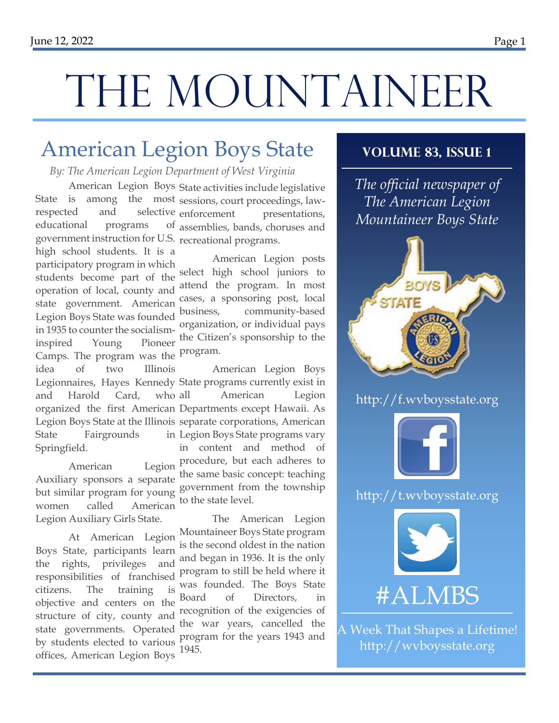# THE MOUNTAINEER

### American Legion Boys State

*By: The American Legion Department of West Virginia*

State is among the most sessions, court proceedings, lawrespected and selective educational programs government instruction for U.S. recreational programs. high school students. It is a participatory program in which students become part of the operation of local, county and state government. American Legion Boys State was founded in 1935 to counter the socialisminspired Young Pioneer Camps. The program was the <sup>program.</sup> idea of two Illinois Legionnaires, Hayes Kennedy State programs currently exist in and Harold Card, who organized the first American Departments except Hawaii. As

State Fairgrounds Springfield. Auxiliary sponsors a separate

women called American Legion Auxiliary Girls State.

At American Legion Boys State, participants learn the rights, privileges and responsibilities of franchised citizens. The training is objective and centers on the structure of city, county and state governments. Operated by students elected to various offices, American Legion Boys

American Legion Boys State activities include legislative presentations, assemblies, bands, choruses and

> American Legion posts select high school juniors to attend the program. In most cases, a sponsoring post, local business, community-based organization, or individual pays the Citizen's sponsorship to the

Legion Boys State at the Illinois separate corporations, American American Legion procedure, but each adheres to but similar program for young government from the township American Legion Boys American Legion in Legion Boys State programs vary in content and method of the same basic concept: teaching to the state level.

> The American Legion Mountaineer Boys State program is the second oldest in the nation and began in 1936. It is the only program to still be held where it was founded. The Boys State Board of Directors, in recognition of the exigencies of the war years, cancelled the program for the years 1943 and 1945.

#### **Volume 83, Issue 1**

*The official newspaper of The American Legion Mountaineer Boys State*



http://f.wvboysstate.org



http://t.wvboysstate.org



A Week That Shapes a Lifetime! http://wvboysstate.org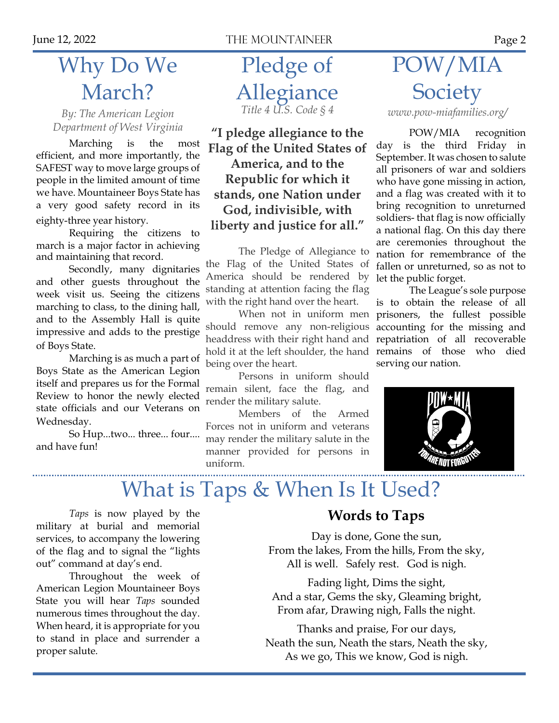### Why Do We March?

*By: The American Legion* 

Marching is the most efficient, and more importantly, the SAFEST way to move large groups of people in the limited amount of time we have. Mountaineer Boys State has a very good safety record in its eighty-three year history.

Requiring the citizens to march is a major factor in achieving and maintaining that record.

Secondly, many dignitaries and other guests throughout the week visit us. Seeing the citizens marching to class, to the dining hall, and to the Assembly Hall is quite impressive and adds to the prestige of Boys State.

Marching is as much a part of Boys State as the American Legion itself and prepares us for the Formal Review to honor the newly elected state officials and our Veterans on Wednesday.

So Hup...two... three... four.... and have fun!

Pledge of Allegiance *Title 4 U.S. Code § 4*

Department of West Virginia **The Universal Political Conventsion POW/MIA** recognition **Flag of the United States of America, and to the Republic for which it stands, one Nation under God, indivisible, with liberty and justice for all."**

> The Pledge of Allegiance to the Flag of the United States of America should be rendered by standing at attention facing the flag with the right hand over the heart.

> When not in uniform men should remove any non-religious headdress with their right hand and hold it at the left shoulder, the hand being over the heart.

> Persons in uniform should remain silent, face the flag, and render the military salute.

> Members of the Armed Forces not in uniform and veterans may render the military salute in the manner provided for persons in uniform.

## POW/MIA **Society**

*www.pow-miafamilies.org/*

day is the third Friday in September. It was chosen to salute all prisoners of war and soldiers who have gone missing in action, and a flag was created with it to bring recognition to unreturned soldiers- that flag is now officially a national flag. On this day there are ceremonies throughout the nation for remembrance of the fallen or unreturned, so as not to let the public forget.

The League's sole purpose is to obtain the release of all prisoners, the fullest possible accounting for the missing and repatriation of all recoverable remains of those who died serving our nation.



### What is Taps & When Is It Used?

*Taps* is now played by the military at burial and memorial services, to accompany the lowering of the flag and to signal the "lights out" command at day's end.

Throughout the week of American Legion Mountaineer Boys State you will hear *Taps* sounded numerous times throughout the day. When heard, it is appropriate for you to stand in place and surrender a proper salute.

#### **Words to Taps**

Day is done, Gone the sun, From the lakes, From the hills, From the sky, All is well. Safely rest. God is nigh.

Fading light, Dims the sight, And a star, Gems the sky, Gleaming bright, From afar, Drawing nigh, Falls the night.

Thanks and praise, For our days, Neath the sun, Neath the stars, Neath the sky, As we go, This we know, God is nigh.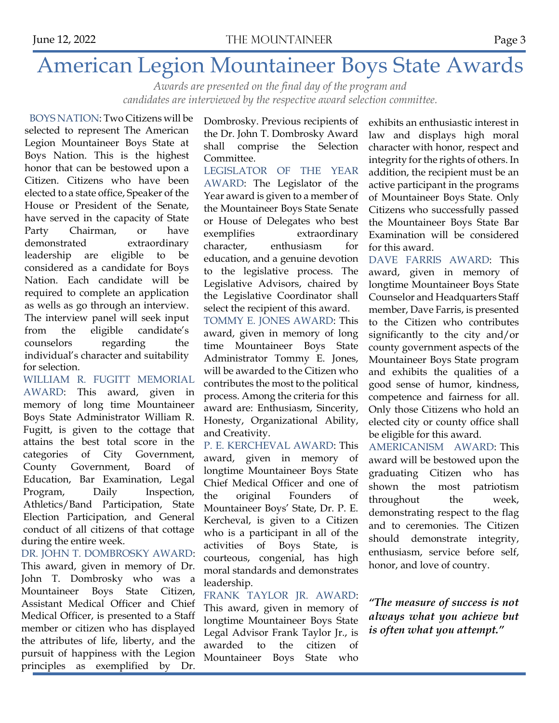### American Legion Mountaineer Boys State Awards

*Awards are presented on the final day of the program and candidates are interviewed by the respective award selection committee.*

BOYS NATION: Two Citizens will be selected to represent The American Legion Mountaineer Boys State at Boys Nation. This is the highest honor that can be bestowed upon a Citizen. Citizens who have been elected to a state office, Speaker of the House or President of the Senate, have served in the capacity of State Party Chairman, or have demonstrated extraordinary leadership are eligible to be considered as a candidate for Boys Nation. Each candidate will be required to complete an application as wells as go through an interview. The interview panel will seek input from the eligible candidate's counselors regarding the individual's character and suitability for selection.

WILLIAM R. FUGITT MEMORIAL AWARD: This award, given in memory of long time Mountaineer Boys State Administrator William R. Fugitt, is given to the cottage that attains the best total score in the categories of City Government, County Government, Board of Education, Bar Examination, Legal Program, Daily Inspection, Athletics/Band Participation, State Election Participation, and General conduct of all citizens of that cottage during the entire week.

DR. JOHN T. DOMBROSKY AWARD: This award, given in memory of Dr. John T. Dombrosky who was a Mountaineer Boys State Citizen, Assistant Medical Officer and Chief Medical Officer, is presented to a Staff member or citizen who has displayed the attributes of life, liberty, and the pursuit of happiness with the Legion principles as exemplified by Dr. Dombrosky. Previous recipients of the Dr. John T. Dombrosky Award shall comprise the Selection Committee.

LEGISLATOR OF THE YEAR AWARD: The Legislator of the Year award is given to a member of the Mountaineer Boys State Senate or House of Delegates who best exemplifies extraordinary character, enthusiasm for education, and a genuine devotion to the legislative process. The Legislative Advisors, chaired by the Legislative Coordinator shall select the recipient of this award.

TOMMY E. JONES AWARD: This award, given in memory of long time Mountaineer Boys State Administrator Tommy E. Jones, will be awarded to the Citizen who contributes the most to the political process. Among the criteria for this award are: Enthusiasm, Sincerity, Honesty, Organizational Ability, and Creativity.

P. E. KERCHEVAL AWARD: This award, given in memory of longtime Mountaineer Boys State Chief Medical Officer and one of the original Founders of Mountaineer Boys' State, Dr. P. E. Kercheval, is given to a Citizen who is a participant in all of the activities of Boys State, is courteous, congenial, has high moral standards and demonstrates leadership.

FRANK TAYLOR JR. AWARD: This award, given in memory of longtime Mountaineer Boys State Legal Advisor Frank Taylor Jr., is awarded to the citizen of Mountaineer Boys State who

exhibits an enthusiastic interest in law and displays high moral character with honor, respect and integrity for the rights of others. In addition, the recipient must be an active participant in the programs of Mountaineer Boys State. Only Citizens who successfully passed the Mountaineer Boys State Bar Examination will be considered for this award.

DAVE FARRIS AWARD: This award, given in memory of longtime Mountaineer Boys State Counselor and Headquarters Staff member, Dave Farris, is presented to the Citizen who contributes significantly to the city and/or county government aspects of the Mountaineer Boys State program and exhibits the qualities of a good sense of humor, kindness, competence and fairness for all. Only those Citizens who hold an elected city or county office shall be eligible for this award.

AMERICANISM AWARD: This award will be bestowed upon the graduating Citizen who has shown the most patriotism throughout the week, demonstrating respect to the flag and to ceremonies. The Citizen should demonstrate integrity, enthusiasm, service before self, honor, and love of country.

*"The measure of success is not always what you achieve but is often what you attempt."*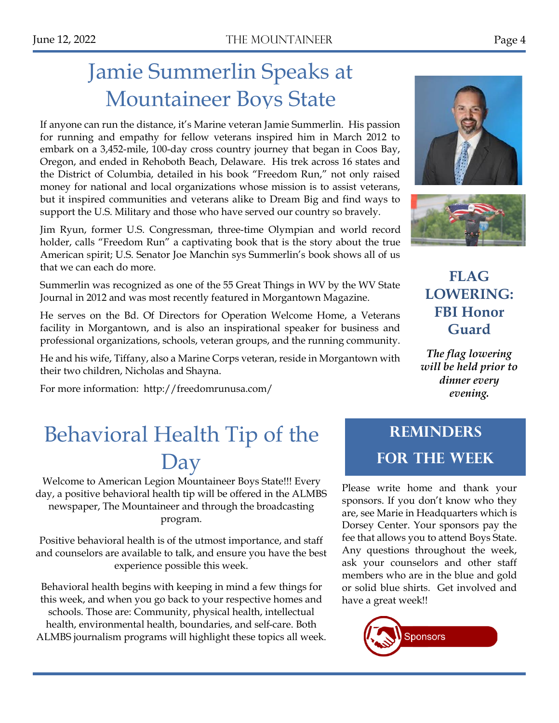### Jamie Summerlin Speaks at Mountaineer Boys State

If anyone can run the distance, it's Marine veteran Jamie Summerlin. His passion for running and empathy for fellow veterans inspired him in March 2012 to embark on a 3,452-mile, 100-day cross country journey that began in Coos Bay, Oregon, and ended in Rehoboth Beach, Delaware. His trek across 16 states and the District of Columbia, detailed in his book "Freedom Run," not only raised money for national and local organizations whose mission is to assist veterans, but it inspired communities and veterans alike to Dream Big and find ways to support the U.S. Military and those who have served our country so bravely.

Jim Ryun, former U.S. Congressman, three-time Olympian and world record holder, calls "Freedom Run" a captivating book that is the story about the true American spirit; U.S. Senator Joe Manchin sys Summerlin's book shows all of us that we can each do more.

Summerlin was recognized as one of the 55 Great Things in WV by the WV State Journal in 2012 and was most recently featured in Morgantown Magazine.

He serves on the Bd. Of Directors for Operation Welcome Home, a Veterans facility in Morgantown, and is also an inspirational speaker for business and professional organizations, schools, veteran groups, and the running community.

He and his wife, Tiffany, also a Marine Corps veteran, reside in Morgantown with their two children, Nicholas and Shayna.

For more information: http://freedomrunusa.com/



#### **FLAG LOWERING: FBI Honor Guard**

*The flag lowering will be held prior to dinner every evening.*

### Behavioral Health Tip of the Day

Welcome to American Legion Mountaineer Boys State!!! Every day, a positive behavioral health tip will be offered in the ALMBS newspaper, The Mountaineer and through the broadcasting program.

Positive behavioral health is of the utmost importance, and staff and counselors are available to talk, and ensure you have the best experience possible this week.

Behavioral health begins with keeping in mind a few things for this week, and when you go back to your respective homes and schools. Those are: Community, physical health, intellectual health, environmental health, boundaries, and self-care. Both ALMBS journalism programs will highlight these topics all week.

### **Reminders for the Week**

Please write home and thank your sponsors. If you don't know who they are, see Marie in Headquarters which is Dorsey Center. Your sponsors pay the fee that allows you to attend Boys State. Any questions throughout the week, ask your counselors and other staff members who are in the blue and gold or solid blue shirts. Get involved and have a great week!!

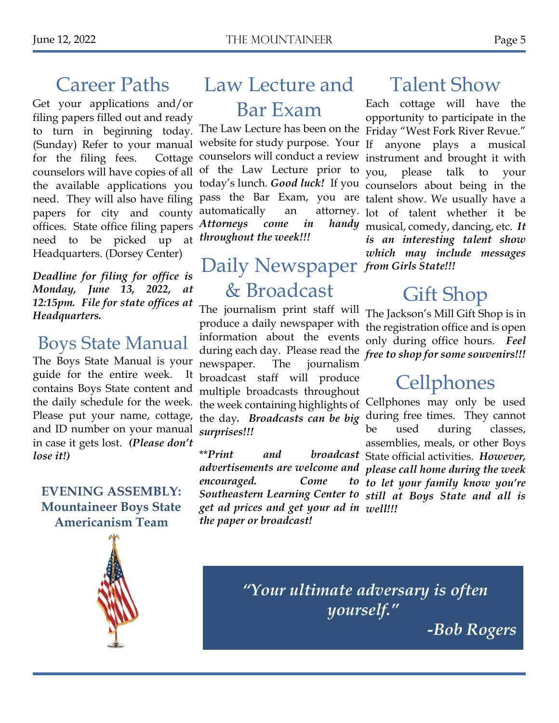### Career Paths

Get your applications and/or filing papers filled out and ready to turn in beginning today. (Sunday) Refer to your manual for the filing fees. Cottage counselors will have copies of all the available applications you papers for city and county offices. State office filing papers need to be picked up at Headquarters. (Dorsey Center)

*Deadline for filing for office is Monday, June 13, 2022, at 12:15pm. File for state offices at Headquarters.* 

### Boys State Manual

The Boys State Manual is your guide for the entire week. It contains Boys State content and the daily schedule for the week. Please put your name, cottage, and ID number on your manual in case it gets lost. *(Please don't lose it!)*

**EVENING ASSEMBLY: Mountaineer Boys State Americanism Team**

### Law Lecture and

### Bar Exam

website for study purpose. Your of the Law Lecture prior to automatically an *Attorneys come in throughout the week!!!*

### Daily Newspaper *from Girls State!!!* & Broadcast

The journalism print staff will produce a daily newspaper with information about the events during each day. Please read the newspaper. The journalism broadcast staff will produce multiple broadcasts throughout the week containing highlights of the day*. Broadcasts can be big surprises!!!*

*encouraged.* Come *get ad prices and get your ad in well!!! the paper or broadcast!*

### Talent Show

need. They will also have filing pass the Bar Exam, you are talent show. We usually have a The Law Lecture has been on the Friday "West Fork River Revue." counselors will conduct a review instrument and brought it with today's lunch. *Good luck!* If you counselors about being in the Each cottage will have the opportunity to participate in the anyone plays a musical you, please talk to your attorney. lot of talent whether it be handy musical, comedy, dancing, etc. It *is an interesting talent show which may include messages* 

### Gift Shop

The Jackson's Mill Gift Shop is in the registration office and is open only during office hours. *Feel free to shop for some souvenirs!!!*

### **Cellphones**

\*\**Print and broadcast*  State official activities. *However, advertisements are welcome and please call home during the week Southeastern Learning Center to still at Boys State and all is*  Cellphones may only be used during free times. They cannot be used during classes, assemblies, meals, or other Boys *to let your family know you're* 



*"Your ultimate adversary is often yourself."*

*-Bob Rogers*